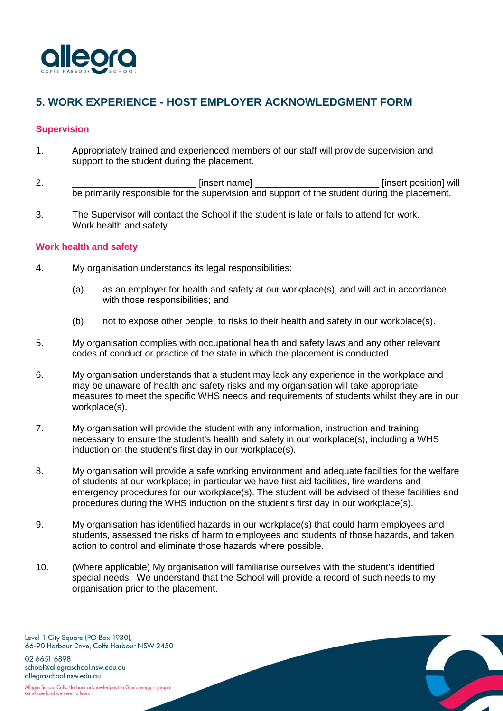

# **5. WORK EXPERIENCE - HOST EMPLOYER ACKNOWLEDGMENT FORM**

#### **Supervision**

- 1. Appropriately trained and experienced members of our staff will provide supervision and support to the student during the placement.
- 2. \_\_\_\_\_\_\_\_\_\_\_\_\_\_\_\_\_\_\_\_\_\_\_\_ [insert name] \_\_\_\_\_\_\_\_\_\_\_\_\_\_\_\_\_\_\_\_\_\_\_\_ [insert position] will be primarily responsible for the supervision and support of the student during the placement.
- 3. The Supervisor will contact the School if the student is late or fails to attend for work. Work health and safety

#### **Work health and safety**

- 4. My organisation understands its legal responsibilities:
	- (a) as an employer for health and safety at our workplace(s), and will act in accordance with those responsibilities; and
	- (b) not to expose other people, to risks to their health and safety in our workplace(s).
- 5. My organisation complies with occupational health and safety laws and any other relevant codes of conduct or practice of the state in which the placement is conducted.
- 6. My organisation understands that a student may lack any experience in the workplace and may be unaware of health and safety risks and my organisation will take appropriate measures to meet the specific WHS needs and requirements of students whilst they are in our workplace(s).
- 7. My organisation will provide the student with any information, instruction and training necessary to ensure the student's health and safety in our workplace(s), including a WHS induction on the student's first day in our workplace(s).
- 8. My organisation will provide a safe working environment and adequate facilities for the welfare of students at our workplace; in particular we have first aid facilities, fire wardens and emergency procedures for our workplace(s). The student will be advised of these facilities and procedures during the WHS induction on the student's first day in our workplace(s).
- 9. My organisation has identified hazards in our workplace(s) that could harm employees and students, assessed the risks of harm to employees and students of those hazards, and taken action to control and eliminate those hazards where possible.

10. (Where applicable) My organisation will familiarise ourselves with the student's identified special needs. We understand that the School will provide a record of such needs to my organisation prior to the placement.

Level 1 City Square (PO Box 1930), 66-90 Harbour Drive, Coffs Harbour NSW 2450 02 6651 6898 school@allegraschool.nsw.edu.au

allegraschool.nsw.edu.au Allegra School Coffs Harbour acknowledges the Gumbaynggirr people on whose land we meet to learn.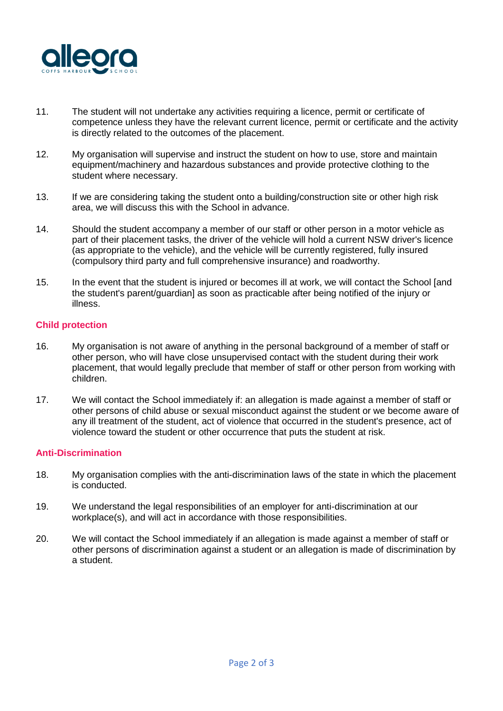

- 11. The student will not undertake any activities requiring a licence, permit or certificate of competence unless they have the relevant current licence, permit or certificate and the activity is directly related to the outcomes of the placement.
- 12. My organisation will supervise and instruct the student on how to use, store and maintain equipment/machinery and hazardous substances and provide protective clothing to the student where necessary.
- 13. If we are considering taking the student onto a building/construction site or other high risk area, we will discuss this with the School in advance.
- 14. Should the student accompany a member of our staff or other person in a motor vehicle as part of their placement tasks, the driver of the vehicle will hold a current NSW driver's licence (as appropriate to the vehicle), and the vehicle will be currently registered, fully insured (compulsory third party and full comprehensive insurance) and roadworthy.
- 15. In the event that the student is injured or becomes ill at work, we will contact the School [and the student's parent/guardian] as soon as practicable after being notified of the injury or illness.

## **Child protection**

- 16. My organisation is not aware of anything in the personal background of a member of staff or other person, who will have close unsupervised contact with the student during their work placement, that would legally preclude that member of staff or other person from working with children.
- 17. We will contact the School immediately if: an allegation is made against a member of staff or other persons of child abuse or sexual misconduct against the student or we become aware of any ill treatment of the student, act of violence that occurred in the student's presence, act of violence toward the student or other occurrence that puts the student at risk.

## **Anti-Discrimination**

- 18. My organisation complies with the anti-discrimination laws of the state in which the placement is conducted.
- 19. We understand the legal responsibilities of an employer for anti-discrimination at our workplace(s), and will act in accordance with those responsibilities.
- 20. We will contact the School immediately if an allegation is made against a member of staff or other persons of discrimination against a student or an allegation is made of discrimination by a student.